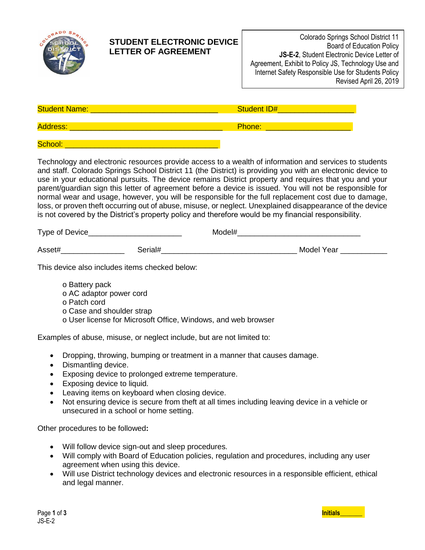

## **STUDENT ELECTRONIC DEVICE LETTER OF AGREEMENT**

| Colorado Springs School District 11                 |
|-----------------------------------------------------|
| <b>Board of Education Policy</b>                    |
| <b>JS-E-2, Student Electronic Device Letter of</b>  |
| Agreement, Exhibit to Policy JS, Technology Use and |
| Internet Safety Responsible Use for Students Policy |
| Revised April 26, 2019                              |
|                                                     |

| <b>Student Name:</b> | <b>Student ID#</b> |
|----------------------|--------------------|
| <b>Address:</b>      | Phone:             |
| School:              |                    |

Technology and electronic resources provide access to a wealth of information and services to students and staff. Colorado Springs School District 11 (the District) is providing you with an electronic device to use in your educational pursuits. The device remains District property and requires that you and your parent/guardian sign this letter of agreement before a device is issued. You will not be responsible for normal wear and usage, however, you will be responsible for the full replacement cost due to damage, loss, or proven theft occurring out of abuse, misuse, or neglect. Unexplained disappearance of the device is not covered by the District's property policy and therefore would be my financial responsibility.

| Type of Device | Model# |
|----------------|--------|
|                |        |
|                |        |

| Asse <sup>'</sup><br>,,,, | . Mr<br>nae<br>co |
|---------------------------|-------------------|
|                           |                   |

This device also includes items checked below:

- o Battery pack
- o AC adaptor power cord
- o Patch cord
- o Case and shoulder strap
- o User license for Microsoft Office, Windows, and web browser

Examples of abuse, misuse, or neglect include, but are not limited to:

- Dropping, throwing, bumping or treatment in a manner that causes damage.
- Dismantling device.
- Exposing device to prolonged extreme temperature.
- Exposing device to liquid.
- Leaving items on keyboard when closing device.
- Not ensuring device is secure from theft at all times including leaving device in a vehicle or unsecured in a school or home setting.

Other procedures to be followed**:**

- Will follow device sign-out and sleep procedures.
- Will comply with Board of Education policies, regulation and procedures, including any user agreement when using this device.
- Will use District technology devices and electronic resources in a responsible efficient, ethical and legal manner.

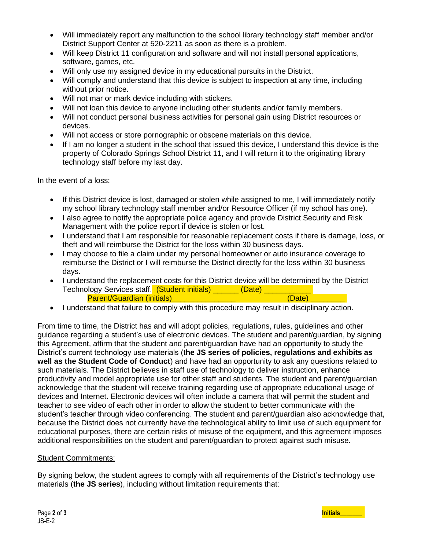- Will immediately report any malfunction to the school library technology staff member and/or District Support Center at 520-2211 as soon as there is a problem.
- Will keep District 11 configuration and software and will not install personal applications, software, games, etc.
- Will only use my assigned device in my educational pursuits in the District.
- Will comply and understand that this device is subject to inspection at any time, including without prior notice.
- Will not mar or mark device including with stickers.
- Will not loan this device to anyone including other students and/or family members.
- Will not conduct personal business activities for personal gain using District resources or devices.
- Will not access or store pornographic or obscene materials on this device.
- If I am no longer a student in the school that issued this device, I understand this device is the property of Colorado Springs School District 11, and I will return it to the originating library technology staff before my last day.

In the event of a loss:

- If this District device is lost, damaged or stolen while assigned to me, I will immediately notify my school library technology staff member and/or Resource Officer (if my school has one).
- I also agree to notify the appropriate police agency and provide District Security and Risk Management with the police report if device is stolen or lost.
- I understand that I am responsible for reasonable replacement costs if there is damage, loss, or theft and will reimburse the District for the loss within 30 business days.
- I may choose to file a claim under my personal homeowner or auto insurance coverage to reimburse the District or I will reimburse the District directly for the loss within 30 business days.
- I understand the replacement costs for this District device will be determined by the District Technology Services staff. (Student initials) \_\_\_\_\_\_ (Date) \_\_\_\_\_\_\_ Parent/Guardian (initials)<br>example to the contract of the Cate)  $(Date)$
- I understand that failure to comply with this procedure may result in disciplinary action.

From time to time, the District has and will adopt policies, regulations, rules, guidelines and other guidance regarding a student's use of electronic devices. The student and parent/guardian, by signing this Agreement, affirm that the student and parent/guardian have had an opportunity to study the District's current technology use materials (t**he JS series of policies, regulations and exhibits as well as the Student Code of Conduct**) and have had an opportunity to ask any questions related to such materials. The District believes in staff use of technology to deliver instruction, enhance productivity and model appropriate use for other staff and students. The student and parent/guardian acknowledge that the student will receive training regarding use of appropriate educational usage of devices and Internet**.** Electronic devices will often include a camera that will permit the student and teacher to see video of each other in order to allow the student to better communicate with the student's teacher through video conferencing. The student and parent/guardian also acknowledge that, because the District does not currently have the technological ability to limit use of such equipment for educational purposes, there are certain risks of misuse of the equipment, and this agreement imposes additional responsibilities on the student and parent/guardian to protect against such misuse.

## Student Commitments:

By signing below, the student agrees to comply with all requirements of the District's technology use materials (**the JS series**), including without limitation requirements that: